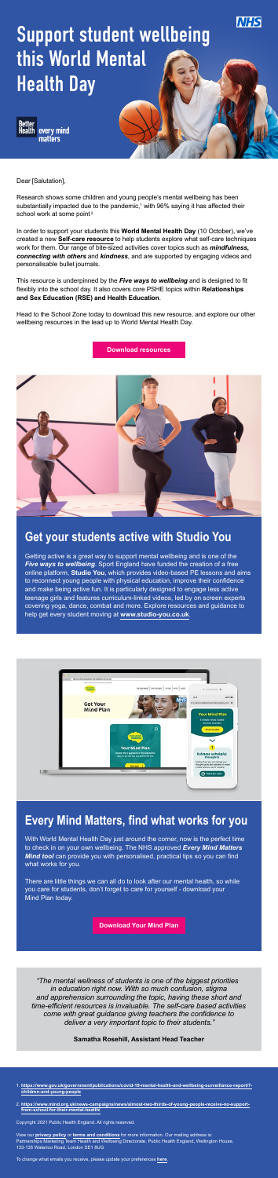- 1. **[https://www.gov.uk/government/publications/covid-19-mental-health-and-wellbeing-surveillance-report/7](https://www.gov.uk/government/publications/covid-19-mental-health-and-wellbeing-surveillance-report/7-children-and-young-people) [children-and-young-people](https://www.gov.uk/government/publications/covid-19-mental-health-and-wellbeing-surveillance-report/7-children-and-young-people)**
- 2. **[https://www.mind.org.uk/news-campaigns/news/almost-two-thirds-of-young-people-receive-no-support](https://www.mind.org.uk/news-campaigns/news/almost-two-thirds-of-young-people-receive-no-support-fro)[from-school-for-their-mental-health/](https://www.mind.org.uk/news-campaigns/news/almost-two-thirds-of-young-people-receive-no-support-fro)**

Copyright 2021 Public Health England. All rights reserved.

Research shows some children and young people's mental wellbeing has been substantially impacted due to the pandemic, $1$  with 96% saying it has affected their school work at some point<sup>2</sup>

View our **privacy policy** or **terms and conditions** for more information. Our mailing address is: Partnerships Marketing Team Health and Wellbeing Directorate, Public Health England, Wellington House, 133-135 Waterloo Road, London SE1 8UG

To change what emails you receive, please update your preferences **here**.



## Support student wellbeing this World Mental Health Day



Dear [Salutation],

In order to support your students this **World Mental Health Day** (10 October), we've created a new **Self-care resource** to help students explore what self-care techniques work for them. Our range of bite-sized activities cover topics such as *mindfulness, connecting with others* and *kindness*, and are supported by engaging videos and personalisable bullet journals.

This resource is underpinned by the *Five ways to wellbeing* and is designed to fit flexibly into the school day. It also covers core PSHE topics within **Relationships and Sex Education (RSE) and Health Education**.

Head to the School Zone today to download this new resource, and explore our other wellbeing resources in the lead up to World Mental Health Day.

*"The mental wellness of students is one of the biggest priorities in education right now. With so much confusion, stigma and apprehension surrounding the topic, having these short and time-efficient resources is invaluable. The self-care based activities come with great guidance giving teachers the confidence to deliver a very important topic to their students."* 

#### **Samatha Rosehill, Assistant Head Teacher**

### **Get your students active with Studio You**

Getting active is a great way to support mental wellbeing and is one of the *Five ways to wellbeing*. Sport England have funded the creation of a free online platform, **Studio You**, which provides video-based PE lessons and aims to reconnect young people with physical education, improve their confidence and make being active fun. It is particularly designed to engage less active teenage girls and features curriculum-linked videos, led by on screen experts covering yoga, dance, combat and more. Explore resources and guidance to help get every student moving at **www.studio-you.co.uk**.



## **Every Mind Matters, find what works for you**

With World Mental Health Day just around the corner, now is the perfect time to check in on your own wellbeing. The NHS approved *Every Mind Matters Mind tool* can provide you with personalised, practical tips so you can find what works for you.

There are little things we can all do to look after our mental health, so while you care for students, don't forget to care for yourself - download your Mind Plan today.

**Download resources**



**Download Your Mind Plan**